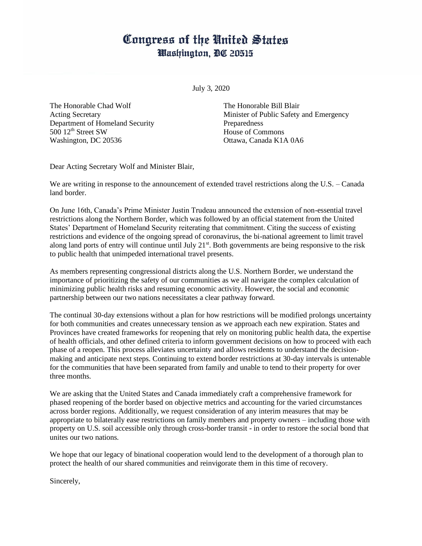## Congress of the United States Washington, DC 20515

July 3, 2020

The Honorable Chad Wolf Acting Secretary Department of Homeland Security 500 12<sup>th</sup> Street SW Washington, DC 20536

The Honorable Bill Blair Minister of Public Safety and Emergency **Preparedness** House of Commons Ottawa, Canada K1A 0A6

Dear Acting Secretary Wolf and Minister Blair,

We are writing in response to the announcement of extended travel restrictions along the U.S. – Canada land border.

On June 16th, Canada's Prime Minister Justin Trudeau announced the extension of non-essential travel restrictions along the Northern Border, which was followed by an official statement from the United States' Department of Homeland Security reiterating that commitment. Citing the success of existing restrictions and evidence of the ongoing spread of coronavirus, the bi-national agreement to limit travel along land ports of entry will continue until July  $21^{st}$ . Both governments are being responsive to the risk to public health that unimpeded international travel presents.

As members representing congressional districts along the U.S. Northern Border, we understand the importance of prioritizing the safety of our communities as we all navigate the complex calculation of minimizing public health risks and resuming economic activity. However, the social and economic partnership between our two nations necessitates a clear pathway forward.

The continual 30-day extensions without a plan for how restrictions will be modified prolongs uncertainty for both communities and creates unnecessary tension as we approach each new expiration. States and Provinces have created frameworks for reopening that rely on monitoring public health data, the expertise of health officials, and other defined criteria to inform government decisions on how to proceed with each phase of a reopen. This process alleviates uncertainty and allows residents to understand the decisionmaking and anticipate next steps. Continuing to extend border restrictions at 30-day intervals is untenable for the communities that have been separated from family and unable to tend to their property for over three months.

We are asking that the United States and Canada immediately craft a comprehensive framework for phased reopening of the border based on objective metrics and accounting for the varied circumstances across border regions. Additionally, we request consideration of any interim measures that may be appropriate to bilaterally ease restrictions on family members and property owners – including those with property on U.S. soil accessible only through cross-border transit - in order to restore the social bond that unites our two nations.

We hope that our legacy of binational cooperation would lend to the development of a thorough plan to protect the health of our shared communities and reinvigorate them in this time of recovery.

Sincerely,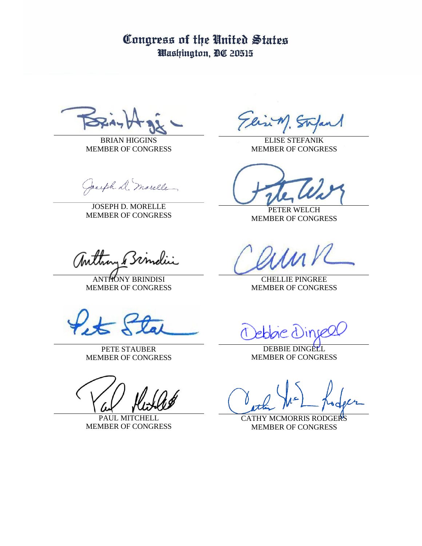Congress of the United States Washington, DC 20515

BRIAN HIGGINS MEMBER OF CONGRESS

Jacoph D. marelle

JOSEPH D. MORELLE MEMBER OF CONGRESS

anthon Bindii

ANTHONY BRINDISI MEMBER OF CONGRESS

PETE STAUBER MEMBER OF CONGRESS

PAUL MITCHELL MEMBER OF CONGRESS

lin M. St

ELISE STEFANIK MEMBER OF CONGRESS

PETER WELCH MEMBER OF CONGRESS

CHELLIE PINGREE MEMBER OF CONGRESS

DEBBIE DINGELL MEMBER OF CONGRESS

CATHY MCMORRIS RODGERS MEMBER OF CONGRESS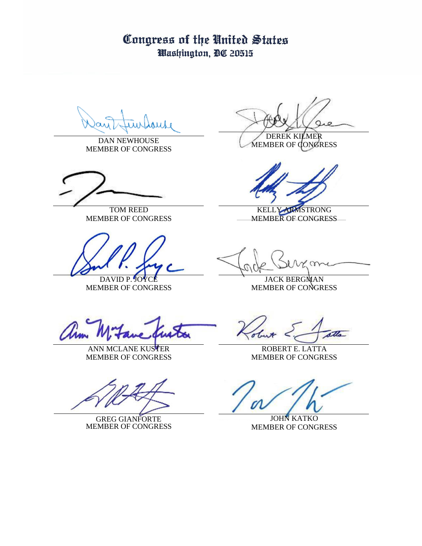## Congress of the United States Washington, DC 20515

DAN NEWHOUSE MEMBER OF CONGRESS

TOM REED MEMBER OF CONGRESS

DAVID P. JOYC MEMBER OF CONGRESS

DEREK KILMER

MEMBER OF CONGRESS

KELLY ARMSTRONG MEMBER OF CONGRESS

JACK BERGMAN MEMBER OF CONGRESS

tim.

ANN MCLANE KUSTER MEMBER OF CONGRESS

GREG GIANFORTE MEMBER OF CONGRESS

the .

ROBERT E. LATTA MEMBER OF CONGRESS

JOHN KATKO MEMBER OF CONGRESS